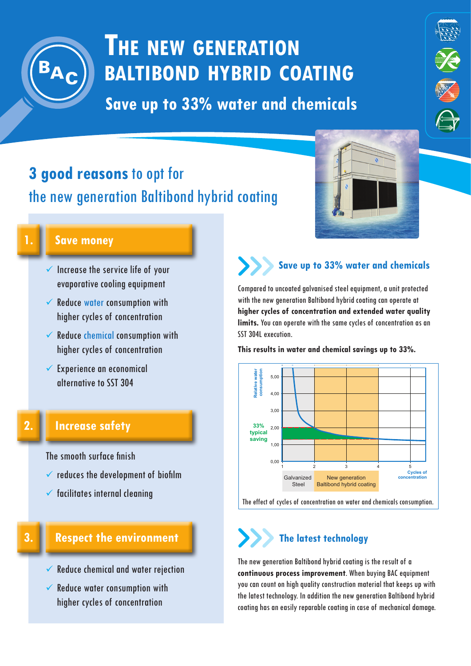

# **The new generation baltibond hybrid coating**

**Save up to 33% water and chemicals**

# **3 good reasons** to opt for the new generation Baltibond hybrid coating



 **Save money**

- $\checkmark$  Increase the service life of your evaporative cooling equipment
- $\checkmark$  Reduce water consumption with higher cycles of concentration
- $\checkmark$  Reduce chemical consumption with higher cycles of concentration
- $\checkmark$  Experience an economical alternative to SST 304

# **2.**

**3.**

## **Increase safety**

The smooth surface finish

- $\checkmark$  reduces the development of biofilm
- $\checkmark$  facilitates internal cleaning

## **Respect the environment**

- $\checkmark$  Reduce chemical and water rejection
- $\checkmark$  Reduce water consumption with higher cycles of concentration

### **Save up to 33% water and chemicals**

Compared to uncoated galvanised steel equipment, a unit protected with the new generation Baltibond hybrid coating can operate at **higher cycles of concentration and extended water quality limits.** You can operate with the same cycles of concentration as an SST 304L execution.

**This results in water and chemical savings up to 33%.**



#### The effect of cycles of concentration on water and chemicals consumption.

# **The latest technology**

The new generation Baltibond hybrid coating is the result of a **continuous process improvement**. When buying BAC equipment you can count on high quality construction material that keeps up with the latest technology. In addition the new generation Baltibond hybrid coating has an easily reparable coating in case of mechanical damage.